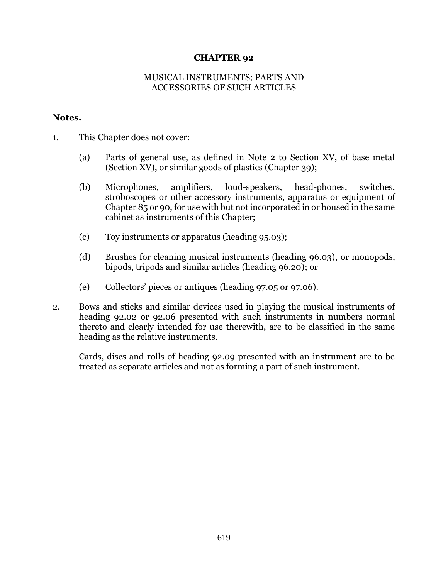## **CHAPTER 92**

## MUSICAL INSTRUMENTS; PARTS AND ACCESSORIES OF SUCH ARTICLES

## **Notes.**

- 1. This Chapter does not cover:
	- (a) Parts of general use, as defined in Note 2 to Section XV, of base metal (Section XV), or similar goods of plastics (Chapter 39);
	- (b) Microphones, amplifiers, loud-speakers, head-phones, switches, stroboscopes or other accessory instruments, apparatus or equipment of Chapter 85 or 90, for use with but not incorporated in or housed in the same cabinet as instruments of this Chapter;
	- (c) Toy instruments or apparatus (heading 95.03);
	- (d) Brushes for cleaning musical instruments (heading 96.03), or monopods, bipods, tripods and similar articles (heading 96.20); or
	- (e) Collectors' pieces or antiques (heading 97.05 or 97.06).
- 2. Bows and sticks and similar devices used in playing the musical instruments of heading 92.02 or 92.06 presented with such instruments in numbers normal thereto and clearly intended for use therewith, are to be classified in the same heading as the relative instruments.

Cards, discs and rolls of heading 92.09 presented with an instrument are to be treated as separate articles and not as forming a part of such instrument.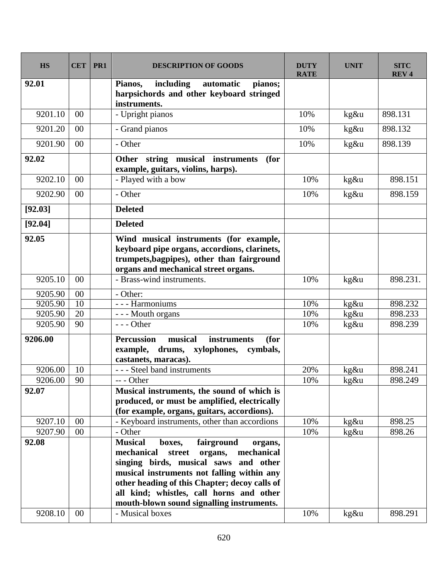| <b>HS</b> | <b>CET</b> | PR1 | <b>DESCRIPTION OF GOODS</b>                                                                                                                                                                                                                                                                                                         | <b>DUTY</b><br><b>RATE</b> | <b>UNIT</b> | <b>SITC</b><br><b>REV4</b> |
|-----------|------------|-----|-------------------------------------------------------------------------------------------------------------------------------------------------------------------------------------------------------------------------------------------------------------------------------------------------------------------------------------|----------------------------|-------------|----------------------------|
| 92.01     |            |     | including<br>Pianos,<br>pianos;<br>automatic<br>harpsichords and other keyboard stringed<br>instruments.                                                                                                                                                                                                                            |                            |             |                            |
| 9201.10   | $00\,$     |     | - Upright pianos                                                                                                                                                                                                                                                                                                                    | 10%                        | kg&u        | 898.131                    |
| 9201.20   | 00         |     | - Grand pianos                                                                                                                                                                                                                                                                                                                      | 10%                        | kg&u        | 898.132                    |
| 9201.90   | 00         |     | - Other                                                                                                                                                                                                                                                                                                                             | 10%                        | kg&u        | 898.139                    |
| 92.02     |            |     | Other string musical instruments<br>(for<br>example, guitars, violins, harps).                                                                                                                                                                                                                                                      |                            |             |                            |
| 9202.10   | 00         |     | - Played with a bow                                                                                                                                                                                                                                                                                                                 | 10%                        | kg&u        | 898.151                    |
| 9202.90   | 00         |     | - Other                                                                                                                                                                                                                                                                                                                             | 10%                        | kg&u        | 898.159                    |
| [92.03]   |            |     | <b>Deleted</b>                                                                                                                                                                                                                                                                                                                      |                            |             |                            |
| [92.04]   |            |     | <b>Deleted</b>                                                                                                                                                                                                                                                                                                                      |                            |             |                            |
| 92.05     |            |     | Wind musical instruments (for example,<br>keyboard pipe organs, accordions, clarinets,<br>trumpets, bagpipes), other than fairground<br>organs and mechanical street organs.                                                                                                                                                        |                            |             |                            |
| 9205.10   | 00         |     | - Brass-wind instruments.                                                                                                                                                                                                                                                                                                           | 10%                        | $kg\&u$     | 898.231.                   |
| 9205.90   | 00         |     | - Other:                                                                                                                                                                                                                                                                                                                            |                            |             |                            |
| 9205.90   | 10         |     | - - - Harmoniums                                                                                                                                                                                                                                                                                                                    | 10%                        | kg&u        | 898.232                    |
| 9205.90   | 20         |     | --- Mouth organs                                                                                                                                                                                                                                                                                                                    | 10%                        | kg&u        | 898.233                    |
| 9205.90   | 90         |     | $--$ Other                                                                                                                                                                                                                                                                                                                          | 10%                        | kg&u        | 898.239                    |
| 9206.00   |            |     | <b>Percussion</b><br>musical<br>instruments<br>(for<br>example,<br>drums, xylophones, cymbals,<br>castanets, maracas).                                                                                                                                                                                                              |                            |             |                            |
| 9206.00   | 10         |     | - - - Steel band instruments                                                                                                                                                                                                                                                                                                        | 20%                        | kg&u        | 898.241                    |
| 9206.00   | 90         |     | -- - Other                                                                                                                                                                                                                                                                                                                          | 10%                        | kg&u        | 898.249                    |
| 92.07     |            |     | Musical instruments, the sound of which is<br>produced, or must be amplified, electrically<br>(for example, organs, guitars, accordions).                                                                                                                                                                                           |                            |             |                            |
| 9207.10   | 00         |     | - Keyboard instruments, other than accordions                                                                                                                                                                                                                                                                                       | 10%                        | kg&u        | 898.25                     |
| 9207.90   | 00         |     | - Other                                                                                                                                                                                                                                                                                                                             | 10%                        | $kg\&u$     | 898.26                     |
| 92.08     |            |     | <b>Musical</b><br>fairground<br>boxes,<br>organs,<br>street<br>mechanical<br>mechanical<br>organs,<br>singing birds, musical saws and other<br>musical instruments not falling within any<br>other heading of this Chapter; decoy calls of<br>all kind; whistles, call horns and other<br>mouth-blown sound signalling instruments. |                            |             |                            |
| 9208.10   | 00         |     | - Musical boxes                                                                                                                                                                                                                                                                                                                     | 10%                        | kg&u        | 898.291                    |